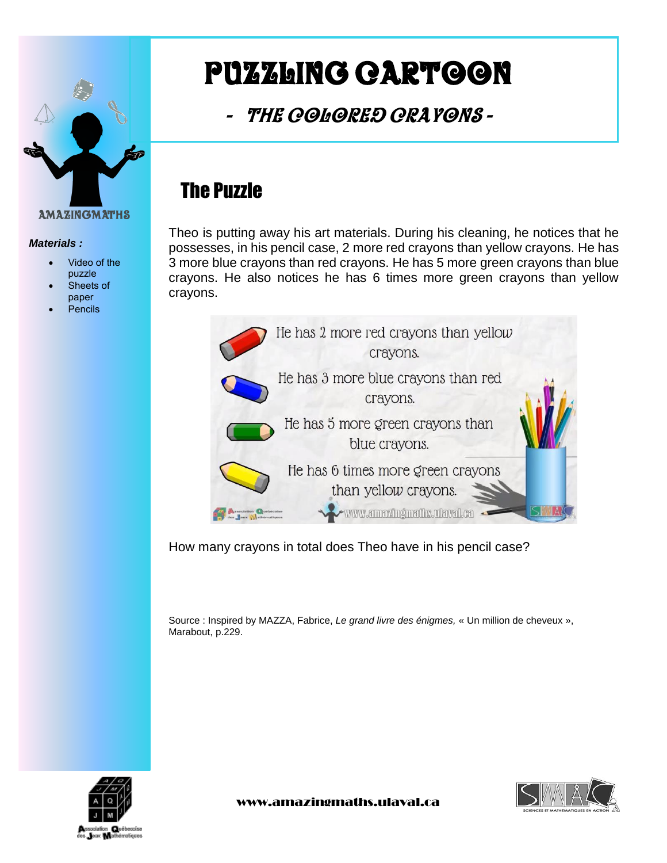

#### *Materials :*

- Video of the puzzle
- Sheets of
- paper Pencils

# Puzzling cartoon

-The colored Crayons -

## The Puzzle

Theo is putting away his art materials. During his cleaning, he notices that he possesses, in his pencil case, 2 more red crayons than yellow crayons. He has 3 more blue crayons than red crayons. He has 5 more green crayons than blue crayons. He also notices he has 6 times more green crayons than yellow crayons.



How many crayons in total does Theo have in his pencil case?

Source : Inspired by MAZZA, Fabrice, *Le grand livre des énigmes,* « Un million de cheveux », Marabout, p.229.

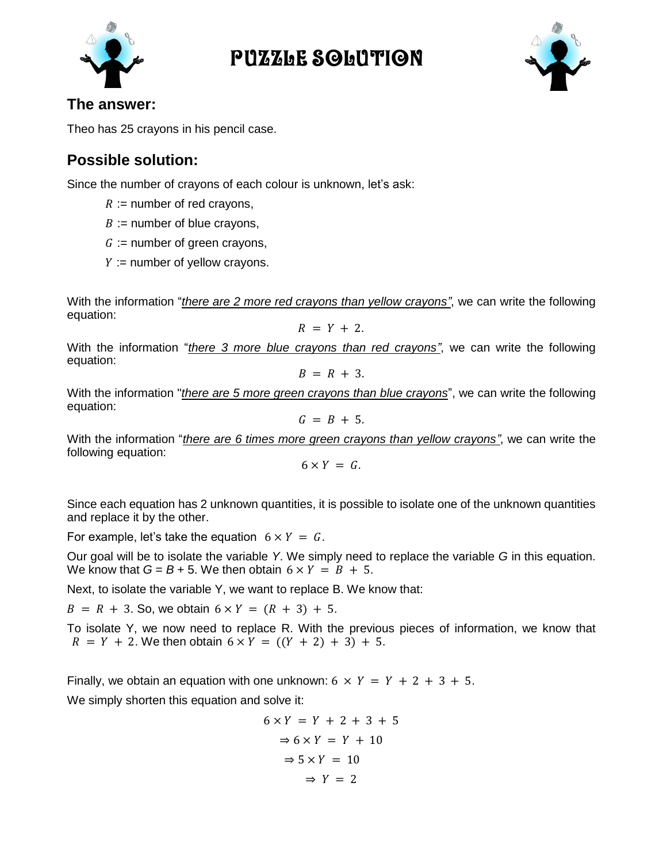

## Puzzle Solution



#### **The answer:**

Theo has 25 crayons in his pencil case.

## **Possible solution:**

Since the number of crayons of each colour is unknown, let's ask:

- $R :=$  number of red crayons,
- $B :=$  number of blue crayons,
- $G :=$  number of green crayons,
- $Y :=$  number of yellow crayons.

With the information "*there are 2 more red crayons than yellow crayons"*, we can write the following equation:

 $R = Y + 2.$ 

With the information "*there 3 more blue crayons than red crayons"*, we can write the following equation:

$$
B = R + 3.
$$

With the information "*there are 5 more green crayons than blue crayons*", we can write the following equation:

$$
G = B + 5.
$$

With the information "*there are 6 times more green crayons than yellow crayons"*, we can write the following equation:

$$
6 \times Y = G.
$$

Since each equation has 2 unknown quantities, it is possible to isolate one of the unknown quantities and replace it by the other.

For example, let's take the equation  $6 \times Y = G$ .

Our goal will be to isolate the variable *Y*. We simply need to replace the variable *G* in this equation. We know that  $G = B + 5$ . We then obtain  $6 \times Y = B + 5$ .

Next, to isolate the variable Y, we want to replace B. We know that:

 $B = R + 3$ . So, we obtain  $6 \times Y = (R + 3) + 5$ .

To isolate Y, we now need to replace R. With the previous pieces of information, we know that  $R = Y + 2$ . We then obtain  $6 \times Y = ((Y + 2) + 3) + 5$ .

Finally, we obtain an equation with one unknown:  $6 \times Y = Y + 2 + 3 + 5$ .

We simply shorten this equation and solve it:

$$
6 \times Y = Y + 2 + 3 + 5
$$
  
\n
$$
\Rightarrow 6 \times Y = Y + 10
$$
  
\n
$$
\Rightarrow 5 \times Y = 10
$$
  
\n
$$
\Rightarrow Y = 2
$$